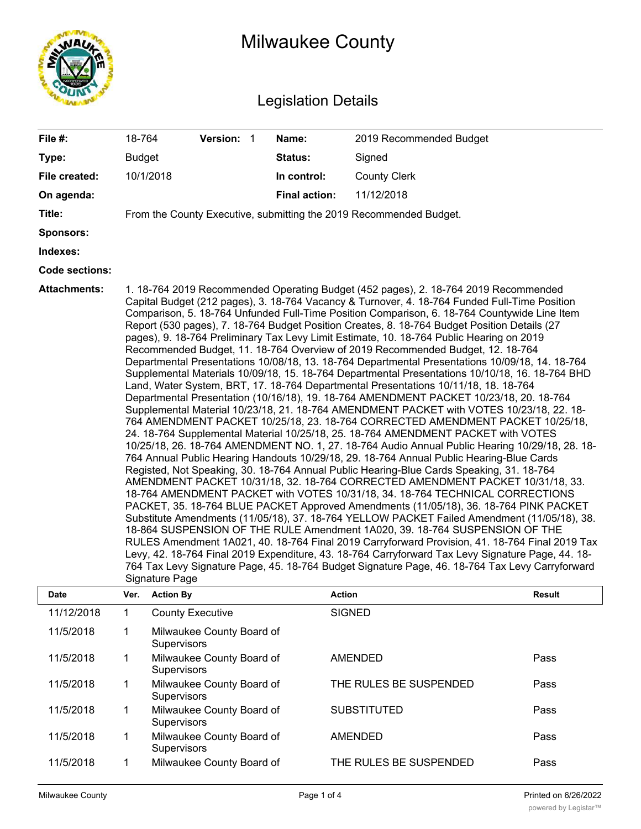

# Milwaukee County

## Legislation Details

| File #:               | 18-764                          | Version: 1 |  | Name:                | 2019 Recommended Budget                                                                                                                                                                                                                                                                                                                                                                                                                                                                                                                                                                                                                                                                                                                                                                                                                                                                                                                                                                                                                                                                                                                                                                                                                                                                                                                                                                                                                                                                                                                                                                                                                                                                                                                                                                                                                                                                                                                                                                                                                                                                                                                                                                                                                                                                     |
|-----------------------|---------------------------------|------------|--|----------------------|---------------------------------------------------------------------------------------------------------------------------------------------------------------------------------------------------------------------------------------------------------------------------------------------------------------------------------------------------------------------------------------------------------------------------------------------------------------------------------------------------------------------------------------------------------------------------------------------------------------------------------------------------------------------------------------------------------------------------------------------------------------------------------------------------------------------------------------------------------------------------------------------------------------------------------------------------------------------------------------------------------------------------------------------------------------------------------------------------------------------------------------------------------------------------------------------------------------------------------------------------------------------------------------------------------------------------------------------------------------------------------------------------------------------------------------------------------------------------------------------------------------------------------------------------------------------------------------------------------------------------------------------------------------------------------------------------------------------------------------------------------------------------------------------------------------------------------------------------------------------------------------------------------------------------------------------------------------------------------------------------------------------------------------------------------------------------------------------------------------------------------------------------------------------------------------------------------------------------------------------------------------------------------------------|
| Type:                 | <b>Budget</b>                   |            |  | <b>Status:</b>       | Signed                                                                                                                                                                                                                                                                                                                                                                                                                                                                                                                                                                                                                                                                                                                                                                                                                                                                                                                                                                                                                                                                                                                                                                                                                                                                                                                                                                                                                                                                                                                                                                                                                                                                                                                                                                                                                                                                                                                                                                                                                                                                                                                                                                                                                                                                                      |
| File created:         | 10/1/2018                       |            |  | In control:          | <b>County Clerk</b>                                                                                                                                                                                                                                                                                                                                                                                                                                                                                                                                                                                                                                                                                                                                                                                                                                                                                                                                                                                                                                                                                                                                                                                                                                                                                                                                                                                                                                                                                                                                                                                                                                                                                                                                                                                                                                                                                                                                                                                                                                                                                                                                                                                                                                                                         |
| On agenda:            |                                 |            |  | <b>Final action:</b> | 11/12/2018                                                                                                                                                                                                                                                                                                                                                                                                                                                                                                                                                                                                                                                                                                                                                                                                                                                                                                                                                                                                                                                                                                                                                                                                                                                                                                                                                                                                                                                                                                                                                                                                                                                                                                                                                                                                                                                                                                                                                                                                                                                                                                                                                                                                                                                                                  |
| Title:                |                                 |            |  |                      | From the County Executive, submitting the 2019 Recommended Budget.                                                                                                                                                                                                                                                                                                                                                                                                                                                                                                                                                                                                                                                                                                                                                                                                                                                                                                                                                                                                                                                                                                                                                                                                                                                                                                                                                                                                                                                                                                                                                                                                                                                                                                                                                                                                                                                                                                                                                                                                                                                                                                                                                                                                                          |
| Sponsors:             |                                 |            |  |                      |                                                                                                                                                                                                                                                                                                                                                                                                                                                                                                                                                                                                                                                                                                                                                                                                                                                                                                                                                                                                                                                                                                                                                                                                                                                                                                                                                                                                                                                                                                                                                                                                                                                                                                                                                                                                                                                                                                                                                                                                                                                                                                                                                                                                                                                                                             |
| Indexes:              |                                 |            |  |                      |                                                                                                                                                                                                                                                                                                                                                                                                                                                                                                                                                                                                                                                                                                                                                                                                                                                                                                                                                                                                                                                                                                                                                                                                                                                                                                                                                                                                                                                                                                                                                                                                                                                                                                                                                                                                                                                                                                                                                                                                                                                                                                                                                                                                                                                                                             |
| <b>Code sections:</b> |                                 |            |  |                      |                                                                                                                                                                                                                                                                                                                                                                                                                                                                                                                                                                                                                                                                                                                                                                                                                                                                                                                                                                                                                                                                                                                                                                                                                                                                                                                                                                                                                                                                                                                                                                                                                                                                                                                                                                                                                                                                                                                                                                                                                                                                                                                                                                                                                                                                                             |
| Attachments:<br>Dato  | Signature Page<br>Vor Action Pu |            |  | Action               | 1. 18-764 2019 Recommended Operating Budget (452 pages), 2. 18-764 2019 Recommended<br>Capital Budget (212 pages), 3. 18-764 Vacancy & Turnover, 4. 18-764 Funded Full-Time Position<br>Comparison, 5. 18-764 Unfunded Full-Time Position Comparison, 6. 18-764 Countywide Line Item<br>Report (530 pages), 7. 18-764 Budget Position Creates, 8. 18-764 Budget Position Details (27<br>pages), 9. 18-764 Preliminary Tax Levy Limit Estimate, 10. 18-764 Public Hearing on 2019<br>Recommended Budget, 11. 18-764 Overview of 2019 Recommended Budget, 12. 18-764<br>Departmental Presentations 10/08/18, 13. 18-764 Departmental Presentations 10/09/18, 14. 18-764<br>Supplemental Materials 10/09/18, 15. 18-764 Departmental Presentations 10/10/18, 16. 18-764 BHD<br>Land, Water System, BRT, 17. 18-764 Departmental Presentations 10/11/18, 18. 18-764<br>Departmental Presentation (10/16/18), 19. 18-764 AMENDMENT PACKET 10/23/18, 20. 18-764<br>Supplemental Material 10/23/18, 21. 18-764 AMENDMENT PACKET with VOTES 10/23/18, 22. 18-<br>764 AMENDMENT PACKET 10/25/18, 23. 18-764 CORRECTED AMENDMENT PACKET 10/25/18,<br>24. 18-764 Supplemental Material 10/25/18, 25. 18-764 AMENDMENT PACKET with VOTES<br>10/25/18, 26. 18-764 AMENDMENT NO. 1, 27. 18-764 Audio Annual Public Hearing 10/29/18, 28. 18-<br>764 Annual Public Hearing Handouts 10/29/18, 29. 18-764 Annual Public Hearing-Blue Cards<br>Registed, Not Speaking, 30. 18-764 Annual Public Hearing-Blue Cards Speaking, 31. 18-764<br>AMENDMENT PACKET 10/31/18, 32. 18-764 CORRECTED AMENDMENT PACKET 10/31/18, 33.<br>18-764 AMENDMENT PACKET with VOTES 10/31/18, 34. 18-764 TECHNICAL CORRECTIONS<br>PACKET, 35. 18-764 BLUE PACKET Approved Amendments (11/05/18), 36. 18-764 PINK PACKET<br>Substitute Amendments (11/05/18), 37. 18-764 YELLOW PACKET Failed Amendment (11/05/18), 38.<br>18-864 SUSPENSION OF THE RULE Amendment 1A020, 39. 18-764 SUSPENSION OF THE<br>RULES Amendment 1A021, 40. 18-764 Final 2019 Carryforward Provision, 41. 18-764 Final 2019 Tax<br>Levy, 42. 18-764 Final 2019 Expenditure, 43. 18-764 Carryforward Tax Levy Signature Page, 44. 18-<br>764 Tax Levy Signature Page, 45. 18-764 Budget Signature Page, 46. 18-764 Tax Levy Carryforward<br><b>Docult</b> |

| <b>Date</b> | Ver. | <b>Action By</b>                                | <b>Action</b>          | <b>Result</b> |
|-------------|------|-------------------------------------------------|------------------------|---------------|
| 11/12/2018  |      | <b>County Executive</b>                         | <b>SIGNED</b>          |               |
| 11/5/2018   |      | Milwaukee County Board of<br><b>Supervisors</b> |                        |               |
| 11/5/2018   |      | Milwaukee County Board of<br><b>Supervisors</b> | <b>AMENDED</b>         | Pass          |
| 11/5/2018   |      | Milwaukee County Board of<br><b>Supervisors</b> | THE RULES BE SUSPENDED | Pass          |
| 11/5/2018   |      | Milwaukee County Board of<br><b>Supervisors</b> | <b>SUBSTITUTED</b>     | Pass          |
| 11/5/2018   |      | Milwaukee County Board of<br><b>Supervisors</b> | <b>AMENDED</b>         | Pass          |
| 11/5/2018   |      | Milwaukee County Board of                       | THE RULES BE SUSPENDED | Pass          |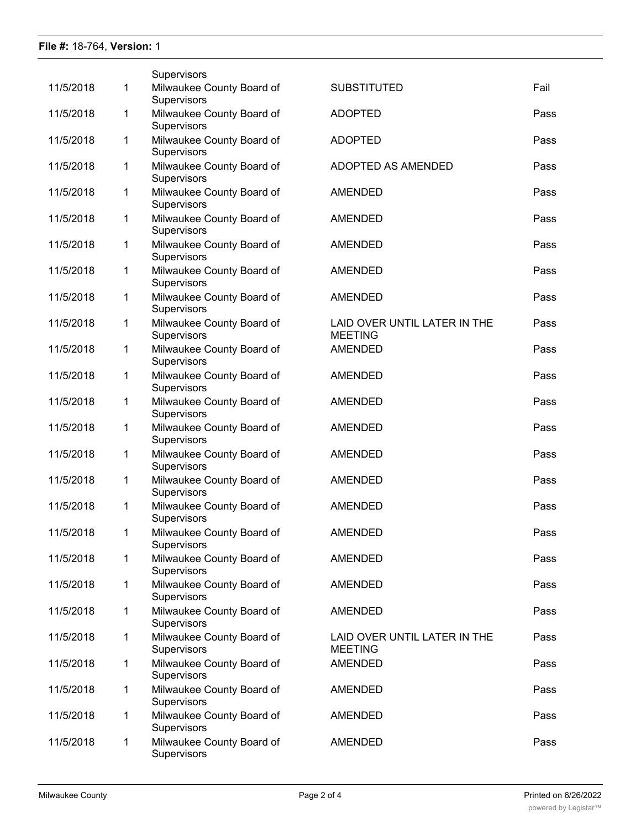### **File #:** 18-764, **Version:** 1

|           |   | Supervisors                              |                                                |      |
|-----------|---|------------------------------------------|------------------------------------------------|------|
| 11/5/2018 | 1 | Milwaukee County Board of<br>Supervisors | <b>SUBSTITUTED</b>                             | Fail |
| 11/5/2018 | 1 | Milwaukee County Board of<br>Supervisors | <b>ADOPTED</b>                                 | Pass |
| 11/5/2018 | 1 | Milwaukee County Board of<br>Supervisors | <b>ADOPTED</b>                                 | Pass |
| 11/5/2018 | 1 | Milwaukee County Board of<br>Supervisors | ADOPTED AS AMENDED                             | Pass |
| 11/5/2018 | 1 | Milwaukee County Board of<br>Supervisors | <b>AMENDED</b>                                 | Pass |
| 11/5/2018 | 1 | Milwaukee County Board of<br>Supervisors | <b>AMENDED</b>                                 | Pass |
| 11/5/2018 | 1 | Milwaukee County Board of<br>Supervisors | <b>AMENDED</b>                                 | Pass |
| 11/5/2018 | 1 | Milwaukee County Board of<br>Supervisors | <b>AMENDED</b>                                 | Pass |
| 11/5/2018 | 1 | Milwaukee County Board of<br>Supervisors | <b>AMENDED</b>                                 | Pass |
| 11/5/2018 | 1 | Milwaukee County Board of<br>Supervisors | LAID OVER UNTIL LATER IN THE<br><b>MEETING</b> | Pass |
| 11/5/2018 | 1 | Milwaukee County Board of<br>Supervisors | <b>AMENDED</b>                                 | Pass |
| 11/5/2018 | 1 | Milwaukee County Board of<br>Supervisors | <b>AMENDED</b>                                 | Pass |
| 11/5/2018 | 1 | Milwaukee County Board of<br>Supervisors | <b>AMENDED</b>                                 | Pass |
| 11/5/2018 | 1 | Milwaukee County Board of<br>Supervisors | <b>AMENDED</b>                                 | Pass |
| 11/5/2018 | 1 | Milwaukee County Board of<br>Supervisors | <b>AMENDED</b>                                 | Pass |
| 11/5/2018 | 1 | Milwaukee County Board of<br>Supervisors | <b>AMENDED</b>                                 | Pass |
| 11/5/2018 | 1 | Milwaukee County Board of<br>Supervisors | <b>AMENDED</b>                                 | Pass |
| 11/5/2018 | 1 | Milwaukee County Board of<br>Supervisors | <b>AMENDED</b>                                 | Pass |
| 11/5/2018 | 1 | Milwaukee County Board of<br>Supervisors | <b>AMENDED</b>                                 | Pass |
| 11/5/2018 | 1 | Milwaukee County Board of<br>Supervisors | <b>AMENDED</b>                                 | Pass |
| 11/5/2018 | 1 | Milwaukee County Board of<br>Supervisors | AMENDED                                        | Pass |
| 11/5/2018 | 1 | Milwaukee County Board of<br>Supervisors | LAID OVER UNTIL LATER IN THE<br><b>MEETING</b> | Pass |
| 11/5/2018 | 1 | Milwaukee County Board of<br>Supervisors | <b>AMENDED</b>                                 | Pass |
| 11/5/2018 | 1 | Milwaukee County Board of<br>Supervisors | <b>AMENDED</b>                                 | Pass |
| 11/5/2018 | 1 | Milwaukee County Board of<br>Supervisors | <b>AMENDED</b>                                 | Pass |
| 11/5/2018 | 1 | Milwaukee County Board of<br>Supervisors | <b>AMENDED</b>                                 | Pass |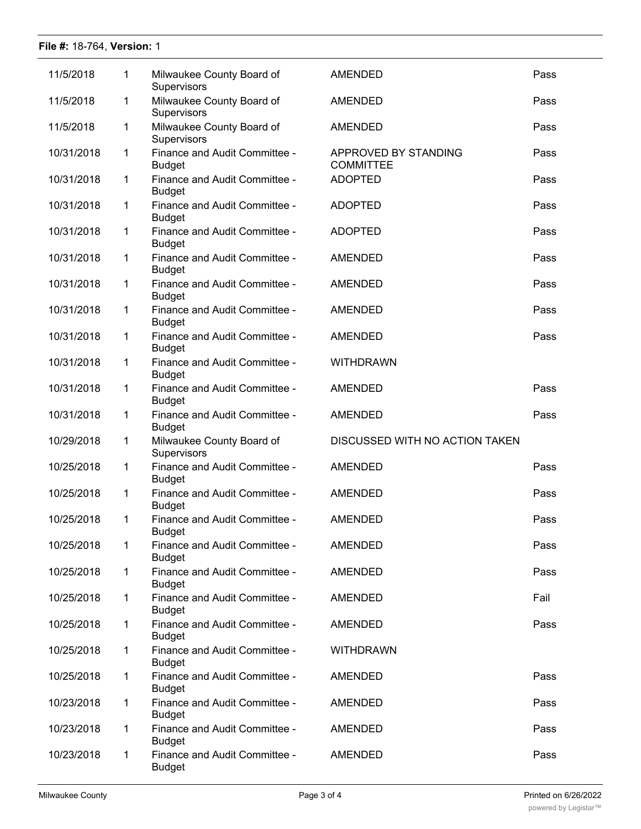### **File #:** 18-764, **Version:** 1

| 11/5/2018  | 1           | Milwaukee County Board of<br>Supervisors       | <b>AMENDED</b>                           | Pass |
|------------|-------------|------------------------------------------------|------------------------------------------|------|
| 11/5/2018  | 1           | Milwaukee County Board of<br>Supervisors       | <b>AMENDED</b>                           | Pass |
| 11/5/2018  | 1           | Milwaukee County Board of<br>Supervisors       | <b>AMENDED</b>                           | Pass |
| 10/31/2018 | 1           | Finance and Audit Committee -<br><b>Budget</b> | APPROVED BY STANDING<br><b>COMMITTEE</b> | Pass |
| 10/31/2018 | 1           | Finance and Audit Committee -<br><b>Budget</b> | <b>ADOPTED</b>                           | Pass |
| 10/31/2018 | $\mathbf 1$ | Finance and Audit Committee -<br><b>Budget</b> | <b>ADOPTED</b>                           | Pass |
| 10/31/2018 | $\mathbf 1$ | Finance and Audit Committee -<br><b>Budget</b> | <b>ADOPTED</b>                           | Pass |
| 10/31/2018 | 1           | Finance and Audit Committee -<br><b>Budget</b> | <b>AMENDED</b>                           | Pass |
| 10/31/2018 | 1           | Finance and Audit Committee -<br><b>Budget</b> | AMENDED                                  | Pass |
| 10/31/2018 | 1           | Finance and Audit Committee -<br><b>Budget</b> | <b>AMENDED</b>                           | Pass |
| 10/31/2018 | 1           | Finance and Audit Committee -<br><b>Budget</b> | <b>AMENDED</b>                           | Pass |
| 10/31/2018 | 1           | Finance and Audit Committee -<br><b>Budget</b> | <b>WITHDRAWN</b>                         |      |
| 10/31/2018 | 1           | Finance and Audit Committee -<br><b>Budget</b> | <b>AMENDED</b>                           | Pass |
| 10/31/2018 | 1           | Finance and Audit Committee -<br><b>Budget</b> | <b>AMENDED</b>                           | Pass |
| 10/29/2018 | 1           | Milwaukee County Board of<br>Supervisors       | DISCUSSED WITH NO ACTION TAKEN           |      |
| 10/25/2018 | 1           | Finance and Audit Committee -<br><b>Budget</b> | <b>AMENDED</b>                           | Pass |
| 10/25/2018 | 1           | Finance and Audit Committee -<br><b>Budget</b> | <b>AMENDED</b>                           | Pass |
| 10/25/2018 | $\mathbf 1$ | Finance and Audit Committee -<br><b>Budget</b> | <b>AMENDED</b>                           | Pass |
| 10/25/2018 | 1           | Finance and Audit Committee -<br><b>Budget</b> | <b>AMENDED</b>                           | Pass |
| 10/25/2018 | 1           | Finance and Audit Committee -<br><b>Budget</b> | <b>AMENDED</b>                           | Pass |
| 10/25/2018 | 1           | Finance and Audit Committee -<br><b>Budget</b> | <b>AMENDED</b>                           | Fail |
| 10/25/2018 | 1           | Finance and Audit Committee -<br><b>Budget</b> | <b>AMENDED</b>                           | Pass |
| 10/25/2018 | 1           | Finance and Audit Committee -<br><b>Budget</b> | <b>WITHDRAWN</b>                         |      |
| 10/25/2018 | 1           | Finance and Audit Committee -<br><b>Budget</b> | <b>AMENDED</b>                           | Pass |
| 10/23/2018 | 1           | Finance and Audit Committee -<br><b>Budget</b> | AMENDED                                  | Pass |
| 10/23/2018 | 1           | Finance and Audit Committee -<br><b>Budget</b> | <b>AMENDED</b>                           | Pass |
| 10/23/2018 | 1           | Finance and Audit Committee -<br><b>Budget</b> | AMENDED                                  | Pass |